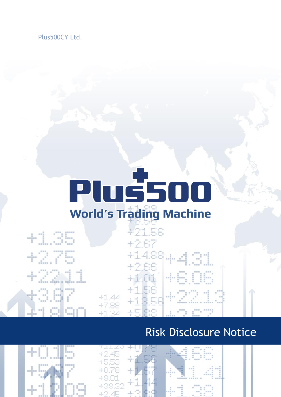Plus500CY Ltd.

# **Pluš50 World's Trading Machine**

1.35

di d

 $+1.44$ <br> $+7.88$ 

## $+2.01$ <br> $+1.56$ <br> $+1.3.56$ 46.06 19 T

### Risk Disclosure Notice

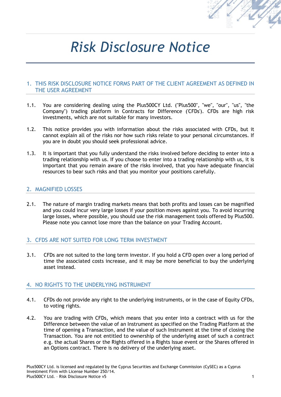

## *Risk Disclosure Notice*

#### 1. THIS RISK DISCLOSURE NOTICE FORMS PART OF THE CLIENT AGREEMENT AS DEFINED IN THE USER AGREEMENT

- 1.1. You are considering dealing using the Plus500CY Ltd. ("Plus500", "we", "our", "us", "the Company") trading platform in Contracts for Difference ('CFDs'). CFDs are high risk investments, which are not suitable for many investors.
- 1.2. This notice provides you with information about the risks associated with CFDs, but it cannot explain all of the risks nor how such risks relate to your personal circumstances. If you are in doubt you should seek professional advice.
- 1.3. It is important that you fully understand the risks involved before deciding to enter into a trading relationship with us. If you choose to enter into a trading relationship with us, it is important that you remain aware of the risks involved, that you have adequate financial resources to bear such risks and that you monitor your positions carefully.

#### 2. MAGNIFIED LOSSES

2.1. The nature of margin trading markets means that both profits and losses can be magnified and you could incur very large losses if your position moves against you. To avoid incurring large losses, where possible, you should use the risk management tools offered by Plus500. Please note you cannot lose more than the balance on your Trading Account.

#### 3. CFDS ARE NOT SUITED FOR LONG TERM INVESTMENT

3.1. CFDs are not suited to the long term investor. If you hold a CFD open over a long period of time the associated costs increase, and it may be more beneficial to buy the underlying asset instead.

#### 4. NO RIGHTS TO THE UNDERLYING INSTRUMENT

- 4.1. CFDs do not provide any right to the underlying instruments, or in the case of Equity CFDs, to voting rights.
- 4.2. You are trading with CFDs, which means that you enter into a contract with us for the Difference between the value of an Instrument as specified on the Trading Platform at the time of opening a Transaction, and the value of such Instrument at the time of closing the Transaction. You are not entitled to ownership of the underlying asset of such a contract e.g. the actual Shares or the Rights offered in a Rights Issue event or the Shares offered in an Options contract. There is no delivery of the underlying asset.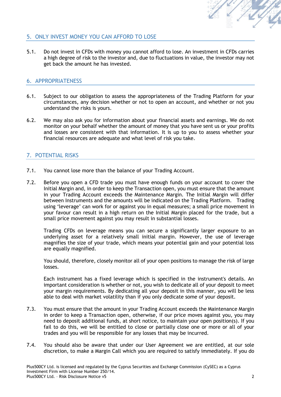

#### 5. ONLY INVEST MONEY YOU CAN AFFORD TO LOSE

5.1. Do not invest in CFDs with money you cannot afford to lose. An investment in CFDs carries a high degree of risk to the investor and, due to fluctuations in value, the investor may not get back the amount he has invested.

#### 6. APPROPRIATENESS

- 6.1. Subject to our obligation to assess the appropriateness of the Trading Platform for your circumstances, any decision whether or not to open an account, and whether or not you understand the risks is yours.
- 6.2. We may also ask you for information about your financial assets and earnings. We do not monitor on your behalf whether the amount of money that you have sent us or your profits and losses are consistent with that information. It is up to you to assess whether your financial resources are adequate and what level of risk you take.

#### 7. POTENTIAL RISKS

- 7.1. You cannot lose more than the balance of your Trading Account.
- 7.2. Before you open a CFD trade you must have enough funds on your account to cover the Initial Margin and, in order to keep the Transaction open, you must ensure that the amount in your Trading Account exceeds the Maintenance Margin. The Initial Margin will differ between Instruments and the amounts will be indicated on the Trading Platform. Trading using 'leverage' can work for or against you in equal measures; a small price movement in your favour can result in a high return on the Initial Margin placed for the trade, but a small price movement against you may result in substantial losses.

Trading CFDs on leverage means you can secure a significantly larger exposure to an underlying asset for a relatively small initial margin. However, the use of leverage magnifies the size of your trade, which means your potential gain and your potential loss are equally magnified.

You should, therefore, closely monitor all of your open positions to manage the risk of large losses.

Each instrument has a fixed leverage which is specified in the instrument's details. An important consideration is whether or not, you wish to dedicate all of your deposit to meet your margin requirements. By dedicating all your deposit in this manner, you will be less able to deal with market volatility than if you only dedicate some of your deposit.

- 7.3. You must ensure that the amount in your Trading Account exceeds the Maintenance Margin in order to keep a Transaction open, otherwise, if our price moves against you, you may need to deposit additional funds, at short notice, to maintain your open position(s). If you fail to do this, we will be entitled to close or partially close one or more or all of your trades and you will be responsible for any losses that may be incurred.
- 7.4. You should also be aware that under our User Agreement we are entitled, at our sole discretion, to make a Margin Call which you are required to satisfy immediately. If you do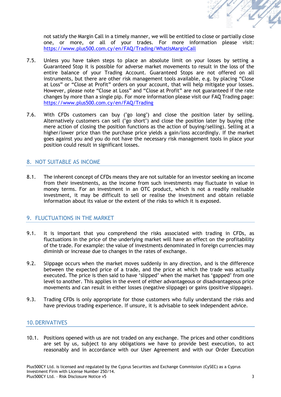

not satisfy the Margin Call in a timely manner, we will be entitled to close or partially close one, or more, or all of your trades. For more information please visit: <https://www.plus500.com.cy/en/FAQ/Trading/WhatIsMarginCall>

- 7.5. Unless you have taken steps to place an absolute limit on your losses by setting a Guaranteed Stop it is possible for adverse market movements to result in the loss of the entire balance of your Trading Account. Guaranteed Stops are not offered on all instruments, but there are other risk management tools available, e.g. by placing "Close at Loss" or "Close at Profit" orders on your account, that will help mitigate your losses. However, please note "Close at Loss" and "Close at Profit" are not guaranteed if the rate changes by more than a single pip. For more information please visit our FAQ Trading page: <https://www.plus500.com.cy/en/FAQ/Trading>
- 7.6. With CFDs customers can buy ("go long") and close the position later by selling. Alternatively customers can sell ("go short") and close the position later by buying (the mere action of closing the position functions as the action of buying/selling). Selling at a higher/lower price than the purchase price yields a gain/loss accordingly. If the market goes against you and you do not have the necessary risk management tools in place your position could result in significant losses.

#### 8. NOT SUITABLE AS INCOME

8.1. The inherent concept of CFDs means they are not suitable for an investor seeking an income from their investments, as the income from such investments may fluctuate in value in money terms. For an investment in an OTC product, which is not a readily realisable investment, it may be difficult to sell or realise the investment and obtain reliable information about its value or the extent of the risks to which it is exposed.

#### 9. FLUCTUATIONS IN THE MARKET

- 9.1. It is important that you comprehend the risks associated with trading in CFDs, as fluctuations in the price of the underlying market will have an effect on the profitability of the trade. For example: the value of investments denominated in foreign currencies may diminish or increase due to changes in the rates of exchange.
- 9.2. Slippage occurs when the market moves suddenly in any direction, and is the difference between the expected price of a trade, and the price at which the trade was actually executed. The price is then said to have 'slipped' when the market has 'gapped' from one level to another. This applies in the event of either advantageous or disadvantageous price movements and can result in either losses (negative slippage) or gains (positive slippage).
- 9.3. Trading CFDs is only appropriate for those customers who fully understand the risks and have previous trading experience. If unsure, it is advisable to seek independent advice.

#### 10.DERIVATIVES

10.1. Positions opened with us are not traded on any exchange. The prices and other conditions are set by us, subject to any obligations we have to provide best execution, to act reasonably and in accordance with our User Agreement and with our Order Execution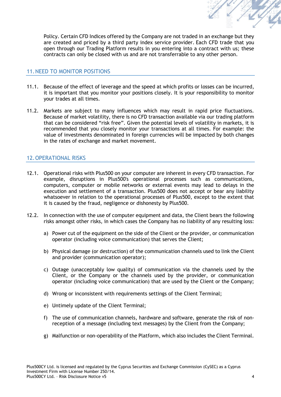

Policy. Certain CFD Indices offered by the Company are not traded in an exchange but they are created and priced by a third party index service provider. Each CFD trade that you open through our Trading Platform results in you entering into a contract with us; these contracts can only be closed with us and are not transferrable to any other person.

#### 11.NEED TO MONITOR POSITIONS

- 11.1. Because of the effect of leverage and the speed at which profits or losses can be incurred, it is important that you monitor your positions closely. It is your responsibility to monitor your trades at all times.
- 11.2. Markets are subject to many influences which may result in rapid price fluctuations. Because of market volatility, there is no CFD transaction available via our trading platform that can be considered "risk free". Given the potential levels of volatility in markets, it is recommended that you closely monitor your transactions at all times. For example: the value of investments denominated in foreign currencies will be impacted by both changes in the rates of exchange and market movement.

#### 12.OPERATIONAL RISKS

- 12.1. Operational risks with Plus500 on your computer are inherent in every CFD transaction. For example, disruptions in Plus500's operational processes such as communications, computers, computer or mobile networks or external events may lead to delays in the execution and settlement of a transaction. Plus500 does not accept or bear any liability whatsoever in relation to the operational processes of Plus500, except to the extent that it is caused by the fraud, negligence or dishonesty by Plus500.
- 12.2. In connection with the use of computer equipment and data, the Client bears the following risks amongst other risks, in which cases the Company has no liability of any resulting loss:
	- a) Power cut of the equipment on the side of the Client or the provider, or communication operator (including voice communication) that serves the Client;
	- b) Physical damage (or destruction) of the communication channels used to link the Client and provider (communication operator);
	- c) Outage (unacceptably low quality) of communication via the channels used by the Client, or the Company or the channels used by the provider, or communication operator (including voice communication) that are used by the Client or the Company;
	- d) Wrong or inconsistent with requirements settings of the Client Terminal;
	- e) Untimely update of the Client Terminal;
	- f) The use of communication channels, hardware and software, generate the risk of nonreception of a message (including text messages) by the Client from the Company;
	- g) Malfunction or non-operability of the Platform, which also includes the Client Terminal.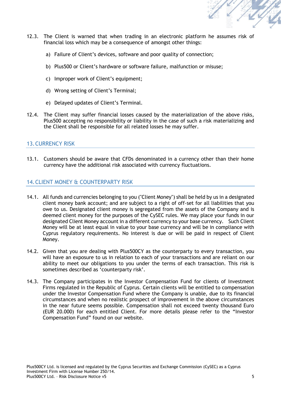

- 12.3. The Client is warned that when trading in an electronic platform he assumes risk of financial loss which may be a consequence of amongst other things:
	- a) Failure of Client's devices, software and poor quality of connection;
	- b) Plus500 or Client's hardware or software failure, malfunction or misuse;
	- c) Improper work of Client's equipment;
	- d) Wrong setting of Client's Terminal;
	- e) Delayed updates of Client's Terminal.
- 12.4. The Client may suffer financial losses caused by the materialization of the above risks, Plus500 accepting no responsibility or liability in the case of such a risk materializing and the Client shall be responsible for all related losses he may suffer.

#### 13.CURRENCY RISK

13.1. Customers should be aware that CFDs denominated in a currency other than their home currency have the additional risk associated with currency fluctuations.

#### 14.CLIENT MONEY & COUNTERPARTY RISK

- 14.1. All funds and currencies belonging to you ("Client Money") shall be held by us in a designated client money bank account; and are subject to a right of off-set for all liabilities that you owe to us. Designated client money is segregated from the assets of the Company and is deemed client money for the purposes of the CySEC rules. We may place your funds in our designated Client Money account in a different currency to your base currency. Such Client Money will be at least equal in value to your base currency and will be in compliance with Cyprus regulatory requirements. No interest is due or will be paid in respect of Client Money.
- 14.2. Given that you are dealing with Plus500CY as the counterparty to every transaction, you will have an exposure to us in relation to each of your transactions and are reliant on our ability to meet our obligations to you under the terms of each transaction. This risk is sometimes described as 'counterparty risk'.
- 14.3. The Company participates in the Investor Compensation Fund for clients of Investment Firms regulated in the Republic of Cyprus. Certain clients will be entitled to compensation under the Investor Compensation Fund where the Company is unable, due to its financial circumstances and when no realistic prospect of improvement in the above circumstances in the near future seems possible. Compensation shall not exceed twenty thousand Euro (EUR 20.000) for each entitled Client. For more details please refer to the "Investor Compensation Fund" found on our website.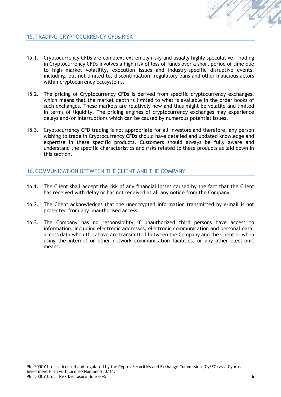

#### 15.TRADING CRYPTOCURRENCY CFDs RISK

- 15.1. Cryptocurrency CFDs are complex, extremely risky and usually highly speculative. Trading in Cryptocurrency CFDs involves a high risk of loss of funds over a short period of time due to high market volatility, execution issues and industry-specific disruptive events, including, but not limited to, discontinuation, regulatory bans and other malicious actors within cryptocurrency ecosystems.
- 15.2. The pricing of Cryptocurrency CFDs is derived from specific cryptocurrency exchanges, which means that the market depth is limited to what is available in the order books of such exchanges. These markets are relatively new and thus might be volatile and limited in terms of liquidity. The pricing engines of cryptocurrency exchanges may experience delays and/or interruptions which can be caused by numerous potential issues.
- 15.3. Cryptocurrency CFD trading is not appropriate for all investors and therefore, any person wishing to trade in Cryptocurrency CFDs should have detailed and updated knowledge and expertise in these specific products. Customers should always be fully aware and understand the specific characteristics and risks related to these products as laid down in this section.

#### 16.COMMUNICATION BETWEEN THE CLIENT AND THE COMPANY

- 16.1. The Client shall accept the risk of any financial losses caused by the fact that the Client has received with delay or has not received at all any notice from the Company.
- 16.2. The Client acknowledges that the unencrypted information transmitted by e-mail is not protected from any unauthorised access.
- 16.3. The Company has no responsibility if unauthorized third persons have access to information, including electronic addresses, electronic communication and personal data, access data when the above are transmitted between the Company and the Client or when using the internet or other network communication facilities, or any other electronic means.